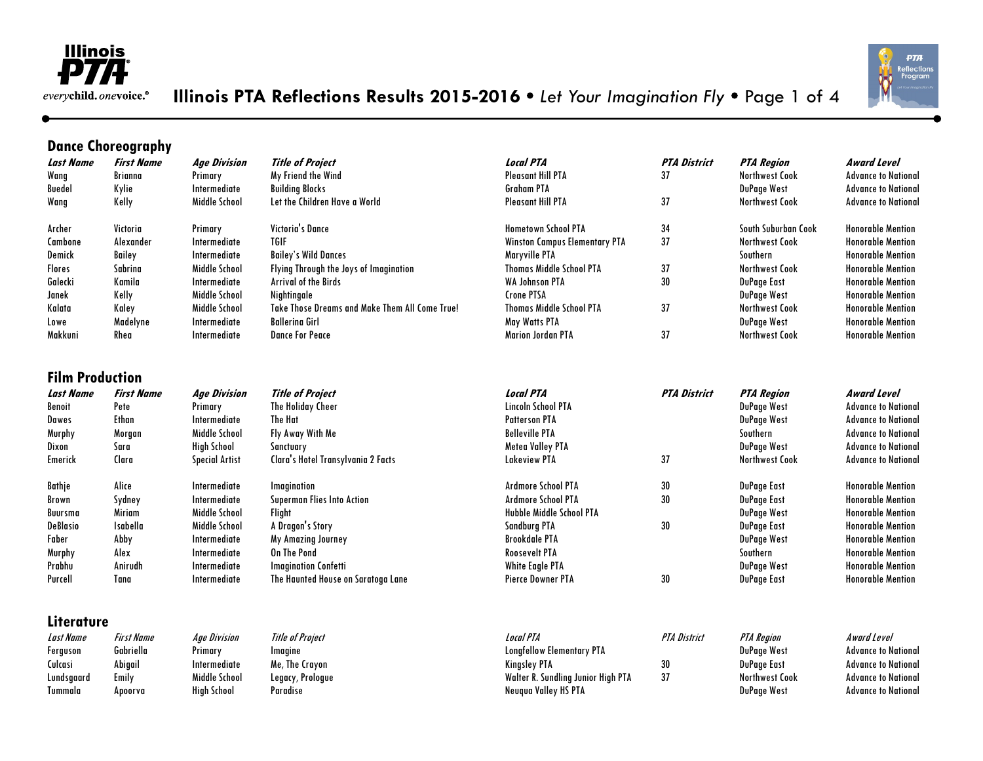

# **Illinois PTA Reflections Results 2015-2016**  *Let Your Imagination Fly*  Page 1 of 4



### **Dance Choreography**

| <b>Last Name</b>       | <b>First Name</b> | <b>Age Division</b>   | <b>Title of Project</b>                        | <b>Local PTA</b>                     | <b>PTA District</b> | <b>PTA Region</b>     | Award Level                |
|------------------------|-------------------|-----------------------|------------------------------------------------|--------------------------------------|---------------------|-----------------------|----------------------------|
| Wang                   | Brianna           | Primary               | My Friend the Wind                             | <b>Pleasant Hill PTA</b>             | 37                  | <b>Northwest Cook</b> | <b>Advance to National</b> |
| <b>Buedel</b>          | Kylie             | Intermediate          | <b>Building Blocks</b>                         | <b>Graham PTA</b>                    |                     | <b>DuPage West</b>    | <b>Advance to National</b> |
| Wang                   | Kelly             | Middle School         | Let the Children Have a World                  | <b>Pleasant Hill PTA</b>             | 37                  | <b>Northwest Cook</b> | <b>Advance to National</b> |
| Archer                 | Victoria          | Primary               | Victoria's Dance                               | <b>Hometown School PTA</b>           | 34                  | South Suburban Cook   | <b>Honorable Mention</b>   |
| Cambone                | Alexander         | Intermediate          | <b>TGIF</b>                                    | <b>Winston Campus Elementary PTA</b> | 37                  | <b>Northwest Cook</b> | <b>Honorable Mention</b>   |
| Demick                 | Bailey            | Intermediate          | <b>Bailey's Wild Dances</b>                    | Maryville PTA                        |                     | Southern              | <b>Honorable Mention</b>   |
| <b>Flores</b>          | Sabrina           | Middle School         | Flying Through the Joys of Imagination         | <b>Thomas Middle School PTA</b>      | 37                  | <b>Northwest Cook</b> | <b>Honorable Mention</b>   |
| Galecki                | Kamila            | Intermediate          | <b>Arrival of the Birds</b>                    | <b>WA Johnson PTA</b>                | 30                  | <b>DuPage East</b>    | <b>Honorable Mention</b>   |
| Janek                  | Kelly             | Middle School         | Nightingale                                    | <b>Crone PTSA</b>                    |                     | <b>DuPage West</b>    | <b>Honorable Mention</b>   |
| Kalata                 | Kaley             | Middle School         | Take Those Dreams and Make Them All Come True! | <b>Thomas Middle School PTA</b>      | 37                  | <b>Northwest Cook</b> | <b>Honorable Mention</b>   |
| Lowe                   | Madelyne          | Intermediate          | <b>Ballerina Girl</b>                          | May Watts PTA                        |                     | DuPage West           | <b>Honorable Mention</b>   |
| Makkuni                | Rhea              | Intermediate          | <b>Dance For Peace</b>                         | <b>Marion Jordan PTA</b>             | 37                  | <b>Northwest Cook</b> | <b>Honorable Mention</b>   |
| <b>Film Production</b> |                   |                       |                                                |                                      |                     |                       |                            |
| <b>Last Name</b>       | <b>First Name</b> | <b>Age Division</b>   | <b>Title of Project</b>                        | <b>Local PTA</b>                     | <b>PTA District</b> | <b>PTA Region</b>     | <b>Award Level</b>         |
| Benoit                 | Pete              | Primary               | The Holiday Cheer                              | Lincoln School PTA                   |                     | DuPage West           | <b>Advance to National</b> |
| Dawes                  | Ethan             | Intermediate          | The Hat                                        | <b>Patterson PTA</b>                 |                     | <b>DuPage West</b>    | <b>Advance to National</b> |
| Murphy                 | Morgan            | Middle School         | Fly Away With Me                               | <b>Belleville PTA</b>                |                     | Southern              | <b>Advance to National</b> |
| Dixon                  | Sara              | <b>High School</b>    | Sanctuary                                      | <b>Metea Valley PTA</b>              |                     | <b>DuPage West</b>    | <b>Advance to National</b> |
| Emerick                | Clara             | <b>Special Artist</b> | Clara's Hotel Transylvania 2 Facts             | <b>Lakeview PTA</b>                  | 37                  | <b>Northwest Cook</b> | <b>Advance to National</b> |
| Bathje                 | Alice             | Intermediate          | Imagination                                    | <b>Ardmore School PTA</b>            | 30                  | DuPage East           | <b>Honorable Mention</b>   |
| Brown                  | Sydney            | Intermediate          | Superman Flies Into Action                     | <b>Ardmore School PTA</b>            | 30                  | <b>DuPage East</b>    | <b>Honorable Mention</b>   |
| Buursma                | <b>Miriam</b>     | Middle School         | Flight                                         | <b>Hubble Middle School PTA</b>      |                     | DuPage West           | <b>Honorable Mention</b>   |
| <b>DeBlasio</b>        | <b>Isabella</b>   | Middle School         | A Dragon's Story                               | <b>Sandburg PTA</b>                  | 30                  | <b>DuPage East</b>    | <b>Honorable Mention</b>   |
| Faber                  | Abby              | Intermediate          | My Amazing Journey                             | <b>Brookdale PTA</b>                 |                     | <b>DuPage West</b>    | <b>Honorable Mention</b>   |
| Murphy                 | Alex              | Intermediate          | On The Pond                                    | <b>Roosevelt PTA</b>                 |                     | Southern              | <b>Honorable Mention</b>   |
| Prabhu                 | Anirudh           | Intermediate          | <b>Imagination Confetti</b>                    | <b>White Eagle PTA</b>               |                     | <b>DuPage West</b>    | <b>Honorable Mention</b>   |
| Purcell                | Tana              | Intermediate          | The Haunted House on Saratoga Lane             | <b>Pierce Downer PTA</b>             | 30                  | DuPage East           | <b>Honorable Mention</b>   |
|                        |                   |                       |                                                |                                      |                     |                       |                            |
| Literature             |                   |                       |                                                |                                      |                     |                       |                            |

| Last Name  | <b>First Name</b> | <b>Age Division</b> | <b>Title of Proiect</b> | Local PTA                          | PTA District | PTA Reaion     | Award Level                |
|------------|-------------------|---------------------|-------------------------|------------------------------------|--------------|----------------|----------------------------|
| Ferguson   | Gabriella         | Primary             | Imaaine                 | <b>Longfellow Elementary PTA</b>   |              | DuPage West    | <b>Advance to National</b> |
| Culcasi    | Abigail           | Intermediate        | Me, The Crayon          | Kingsley PTA                       |              | DuPage East    | <b>Advance to National</b> |
| Lundsgaard | Emilv             | Middle School       | Legacy, Prologue        | Walter R. Sundling Junior High PTA | 37           | Northwest Cook | <b>Advance to National</b> |
| Tummala    | Apoorva           | High School         | Paradise                | Neugua Valley HS PTA               |              | DuPage West    | <b>Advance to National</b> |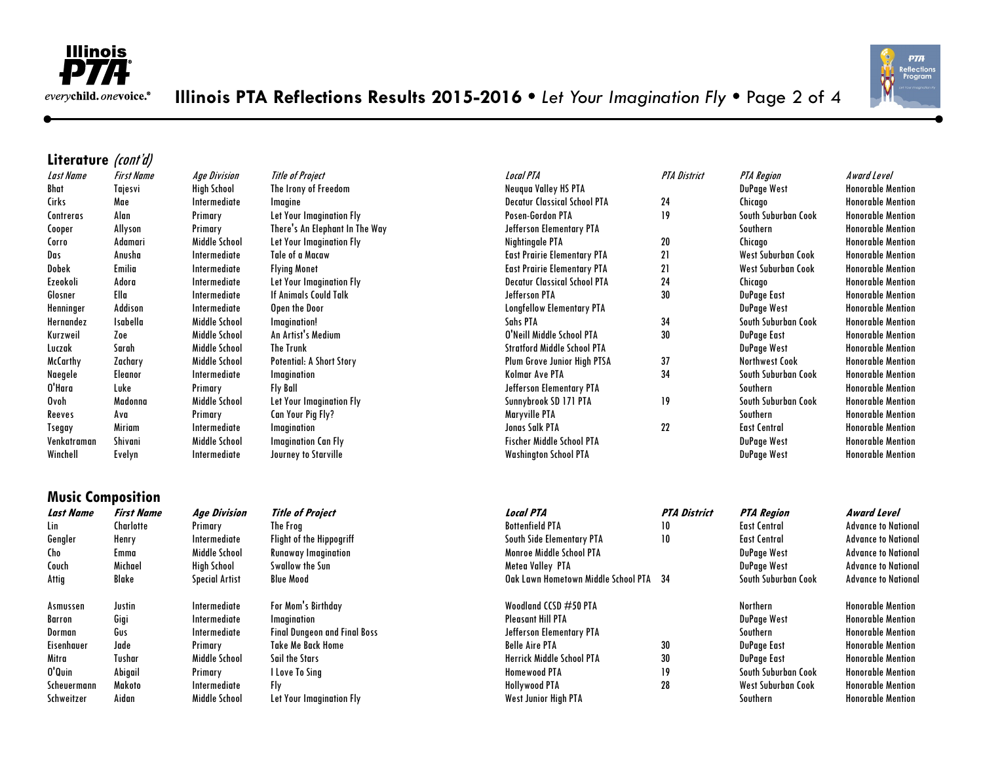



#### **Literature** (cont'd)

|             |          | . <b>.</b> |
|-------------|----------|------------|
| Bhat        | Tajesvi  | High Sch   |
| Cirks       | Mae      | Intermed   |
| Contreras   | Alan     | Primary    |
| Cooper      | Allyson  | Primary    |
| Corro       | Adamari  | Middle S   |
| Das         | Anusha   | Intermed   |
| Dobek       | Emilia   | Intermed   |
| Ezeokoli    | Adora    | Intermed   |
| Glosner     | Ella     | Intermed   |
| Henninger   | Addison  | Intermed   |
| Hernandez   | Isabella | Middle S   |
| Kurzweil    | Zoe      | Middle S   |
| Luczak      | Sarah    | Middle S   |
| McCarthy    | Zachary  | Middle S   |
| Naegele     | Eleanor  | Intermed   |
| O'Hara      | Luke     | Primary    |
| Ovoh        | Madonna  | Middle S   |
| Reeves      | Ava      | Primary    |
| Tsegay      | Miriam   | Intermed   |
| Venkatraman | Shivani  | Middle S   |
| Winchell    | Evelyn   | Intermed   |
|             |          |            |

**Music Composition**

| Last Name   | <b>First Name</b> | <b>Age Division</b> | <b>Title of Project</b>         | <b>Local PTA</b>                    | <b>PTA District</b> | <b>PTA Region</b>     | Award Level              |
|-------------|-------------------|---------------------|---------------------------------|-------------------------------------|---------------------|-----------------------|--------------------------|
| Bhat        | Tajesvi           | High School         | The Irony of Freedom            | Neugua Valley HS PTA                |                     | DuPage West           | <b>Honorable Mention</b> |
| Cirks       | Mae               | Intermediate        | Imagine                         | <b>Decatur Classical School PTA</b> | 24                  | Chicago               | <b>Honorable Mention</b> |
| Contreras   | Alan              | Primary             | Let Your Imagination Fly        | Posen-Gordon PTA                    | 19                  | South Suburban Cook   | <b>Honorable Mention</b> |
| Cooper      | Allyson           | Primary             | There's An Elephant In The Way  | Jefferson Elementary PTA            |                     | Southern              | <b>Honorable Mention</b> |
| Corro       | Adamari           | Middle School       | Let Your Imagination Fly        | Nightingale PTA                     | 20                  | Chicago               | <b>Honorable Mention</b> |
| Das         | Anusha            | Intermediate        | Tale of a Macaw                 | <b>East Prairie Elementary PTA</b>  | 21                  | West Suburban Cook    | <b>Honorable Mention</b> |
| Dobek       | <b>Emilia</b>     | Intermediate        | <b>Flying Monet</b>             | <b>East Prairie Elementary PTA</b>  | 21                  | West Suburban Cook    | <b>Honorable Mention</b> |
| Ezeokoli    | Adora             | Intermediate        | Let Your Imagination Fly        | <b>Decatur Classical School PTA</b> | 24                  | Chicago               | <b>Honorable Mention</b> |
| Glosner     | Ella              | Intermediate        | <b>If Animals Could Talk</b>    | Jefferson PTA                       | 30                  | DuPage East           | <b>Honorable Mention</b> |
| Henninger   | Addison           | Intermediate        | Open the Door                   | <b>Longfellow Elementary PTA</b>    |                     | DuPage West           | <b>Honorable Mention</b> |
| Hernandez   | <b>Isabella</b>   | Middle School       | Imagination!                    | Sahs PTA                            | 34                  | South Suburban Cook   | <b>Honorable Mention</b> |
| Kurzweil    | Zoe               | Middle School       | An Artist's Medium              | O'Neill Middle School PTA           | 30                  | DuPage East           | <b>Honorable Mention</b> |
| Luczak      | Sarah             | Middle School       | <b>The Trunk</b>                | <b>Stratford Middle School PTA</b>  |                     | DuPage West           | <b>Honorable Mention</b> |
| McCarthy    | Zachary           | Middle School       | <b>Potential: A Short Story</b> | Plum Grove Junior High PTSA         | 37                  | <b>Northwest Cook</b> | <b>Honorable Mention</b> |
| Naegele     | Eleanor           | Intermediate        | Imagination                     | Kolmar Ave PTA                      | 34                  | South Suburban Cook   | <b>Honorable Mention</b> |
| O'Hara      | Luke              | Primary             | <b>Fly Ball</b>                 | Jefferson Elementary PTA            |                     | Southern              | <b>Honorable Mention</b> |
| Ovoh        | Madonna           | Middle School       | Let Your Imagination Fly        | Sunnybrook SD 171 PTA               | 19                  | South Suburban Cook   | <b>Honorable Mention</b> |
| Reeves      | Ava               | Primary             | Can Your Pig Fly?               | Maryville PTA                       |                     | Southern              | <b>Honorable Mention</b> |
| Tsegay      | Miriam            | Intermediate        | Imagination                     | <b>Jonas Salk PTA</b>               | 22                  | <b>East Central</b>   | <b>Honorable Mention</b> |
| Venkatraman | Shivani           | Middle School       | <b>Imagination Can Fly</b>      | <b>Fischer Middle School PTA</b>    |                     | DuPage West           | <b>Honorable Mention</b> |
| Winchell    | Evelyn            | Intermediate        | Journey to Starville            | <b>Washington School PTA</b>        |                     | DuPage West           | <b>Honorable Mention</b> |
|             |                   |                     |                                 |                                     |                     |                       |                          |

#### **Last Name First Name Age Division Title of Project Local PTA PTA District PTA Region Award Level** Lin Charlotte Primary The Frog Bottenfield PTA 10 East Central Advance to National Gengler Henry Intermediate Flight of the Hippogriff South Side Elementary PTA 10 East Central Advance to National Cho Emma Middle School Runaway Imagination Monroe Middle School PTA DuPage West Advance to National Couch Michael High School Swallow the Sun Metea Valley PTA DuPage West Advance to National Attig Blake Special Artist Blue Mood Oak Lawn Hometown Middle School PTA 34 South Suburban Cook Advance to National Asmussen Justin Intermediate For Mom's Birthday Woodland CCSD #50 PTA Northern Honorable Mention Barron Gigi Intermediate Imagination Pleasant Hill PTA DuPage West Honorable Mention Dorman Gus Intermediate Final Dungeon and Final Boss Jefferson Elementary PTA Southern Southern Honorable Mention Eisenhauer Jade Primary Take Me Back Home Belle Aire PTA 30 DuPage East Honorable Mention Mitra Tushar Middle School Sail the Stars Herrick Middle School PTA 30 DuPage East Honorable Mention O'Quin Abigail Primary I Love To Sing Homewood PTA 19 South Suburban Cook Honorable Mention Scheuermann Makoto Intermediate Fly Hollywood PTA 28 West Suburban Cook Honorable Mention Schweitzer Aidan – Middle School Let Your Imagination Fly – West Junior High PTA – Southern Southern – Honorable Mention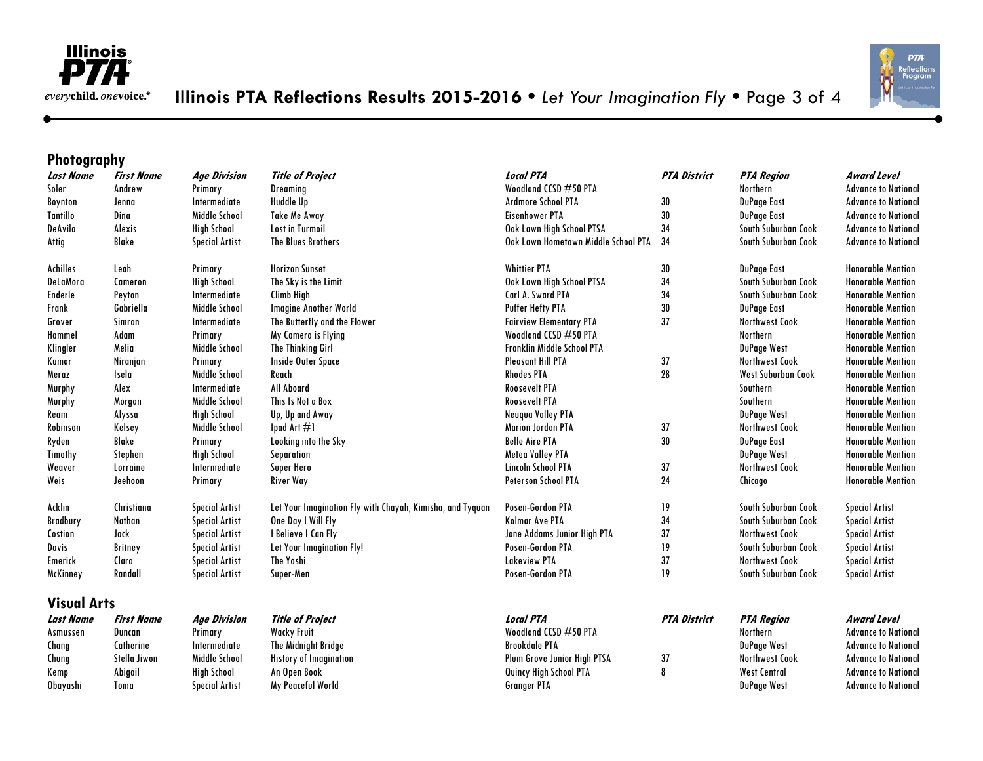



## **Photography**

| <b>Last Name</b>   | <b>First Name</b> | <b>Age Division</b>   | <b>Title of Project</b>                                   | Local PTA                           | <b>PTA District</b> | <b>PTA Region</b>     | <b>Award Level</b>         |
|--------------------|-------------------|-----------------------|-----------------------------------------------------------|-------------------------------------|---------------------|-----------------------|----------------------------|
| Soler              | Andrew            | Primary               | Dreaming                                                  | Woodland CCSD #50 PTA               |                     | <b>Northern</b>       | <b>Advance to National</b> |
| <b>Boynton</b>     | Jenna             | Intermediate          | Huddle Up                                                 | <b>Ardmore School PTA</b>           | 30                  | DuPage East           | <b>Advance to National</b> |
| <b>Tantillo</b>    | Dina              | Middle School         | <b>Take Me Away</b>                                       | <b>Eisenhower PTA</b>               | 30                  | DuPage East           | <b>Advance to National</b> |
| DeAvila            | Alexis            | <b>High School</b>    | <b>Lost in Turmoil</b>                                    | Oak Lawn High School PTSA           | 34                  | South Suburban Cook   | <b>Advance to National</b> |
| Attig              | Blake             | <b>Special Artist</b> | The Blues Brothers                                        | Oak Lawn Hometown Middle School PTA | 34                  | South Suburban Cook   | <b>Advance to National</b> |
| Achilles           | Leah              | Primary               | <b>Horizon Sunset</b>                                     | <b>Whittier PTA</b>                 | 30                  | DuPage East           | <b>Honorable Mention</b>   |
| DeLaMora           | Cameron           | <b>High School</b>    | The Sky is the Limit                                      | Oak Lawn High School PTSA           | 34                  | South Suburban Cook   | <b>Honorable Mention</b>   |
| Enderle            | Peyton            | Intermediate          | Climb High                                                | Carl A. Sward PTA                   | 34                  | South Suburban Cook   | <b>Honorable Mention</b>   |
| Frank              | Gabriella         | Middle School         | <b>Imagine Another World</b>                              | Puffer Hefty PTA                    | 30                  | DuPage East           | <b>Honorable Mention</b>   |
| Grover             | Simran            | Intermediate          | The Butterfly and the Flower                              | <b>Fairview Elementary PTA</b>      | 37                  | <b>Northwest Cook</b> | <b>Honorable Mention</b>   |
| Hammel             | Adam              | Primary               | My Camera is Flying                                       | Woodland CCSD #50 PTA               |                     | <b>Northern</b>       | <b>Honorable Mention</b>   |
| Klingler           | Melia             | Middle School         | <b>The Thinking Girl</b>                                  | <b>Franklin Middle School PTA</b>   |                     | <b>DuPage West</b>    | <b>Honorable Mention</b>   |
| Kumar              | Niranjan          | Primary               | Inside Outer Space                                        | <b>Pleasant Hill PTA</b>            | 37                  | <b>Northwest Cook</b> | <b>Honorable Mention</b>   |
| Meraz              | Isela             | Middle School         | Reach                                                     | <b>Rhodes PTA</b>                   | 28                  | West Suburban Cook    | <b>Honorable Mention</b>   |
| Murphy             | Alex              | Intermediate          | All Aboard                                                | <b>Roosevelt PTA</b>                |                     | Southern              | <b>Honorable Mention</b>   |
| Murphy             | Morgan            | Middle School         | This Is Not a Box                                         | <b>Roosevelt PTA</b>                |                     | Southern              | <b>Honorable Mention</b>   |
| Ream               | Alyssa            | <b>High School</b>    | Up, Up and Away                                           | Neuqua Valley PTA                   |                     | <b>DuPage West</b>    | <b>Honorable Mention</b>   |
| Robinson           | Kelsey            | Middle School         | Ipad Art $\#$ 1                                           | <b>Marion Jordan PTA</b>            | 37                  | <b>Northwest Cook</b> | <b>Honorable Mention</b>   |
| Ryden              | Blake             | Primary               | Looking into the Sky                                      | <b>Belle Aire PTA</b>               | 30                  | <b>DuPage East</b>    | <b>Honorable Mention</b>   |
| Timothy            | Stephen           | <b>High School</b>    | Separation                                                | <b>Metea Valley PTA</b>             |                     | DuPage West           | <b>Honorable Mention</b>   |
| Weaver             | Lorraine          | Intermediate          | Super Hero                                                | Lincoln School PTA                  | 37                  | <b>Northwest Cook</b> | <b>Honorable Mention</b>   |
| Weis               | Jeehoon           | Primary               | River Way                                                 | <b>Peterson School PTA</b>          | 24                  | Chicago               | <b>Honorable Mention</b>   |
| Acklin             | Christiana        | <b>Special Artist</b> | Let Your Imagination Fly with Chayah, Kimisha, and Tyguan | Posen-Gordon PTA                    | 19                  | South Suburban Cook   | <b>Special Artist</b>      |
| Bradbury           | Nathan            | <b>Special Artist</b> | One Day I Will Fly                                        | <b>Kolmar Ave PTA</b>               | 34                  | South Suburban Cook   | <b>Special Artist</b>      |
| Costion            | Jack              | <b>Special Artist</b> | I Believe I Can Fly                                       | Jane Addams Junior High PTA         | 37                  | <b>Northwest Cook</b> | <b>Special Artist</b>      |
| <b>Davis</b>       | <b>Britney</b>    | <b>Special Artist</b> | Let Your Imagination Fly!                                 | Posen-Gordon PTA                    | 19                  | South Suburban Cook   | <b>Special Artist</b>      |
| Emerick            | Clara             | <b>Special Artist</b> | The Yoshi                                                 | <b>Lakeview PTA</b>                 | 37                  | <b>Northwest Cook</b> | <b>Special Artist</b>      |
| McKinney           | Randall           | <b>Special Artist</b> | Super-Men                                                 | Posen-Gordon PTA                    | 19                  | South Suburban Cook   | <b>Special Artist</b>      |
| <b>Visual Arts</b> |                   |                       |                                                           |                                     |                     |                       |                            |
| <b>Last Name</b>   | <b>First Name</b> | <b>Age Division</b>   | <b>Title of Project</b>                                   | <b>Local PTA</b>                    | <b>PTA District</b> | <b>PTA Region</b>     | <b>Award Level</b>         |
| Asmussen           | Duncan            | Primary               | <b>Wacky Fruit</b>                                        | Woodland CCSD #50 PTA               |                     | <b>Northern</b>       | <b>Advance to National</b> |
| Chang              | Catherine         | Intermediate          | The Midnight Bridge                                       | <b>Brookdale PTA</b>                |                     | DuPage West           | <b>Advance to National</b> |
| Chung              | Stella Jiwon      | Middle School         | <b>History of Imagination</b>                             | Plum Grove Junior High PTSA         | 37                  | <b>Northwest Cook</b> | <b>Advance to National</b> |
| Kemp               | Abigail           | <b>High School</b>    | An Open Book                                              | Quincy High School PTA              | 8                   | <b>West Central</b>   | <b>Advance to National</b> |
| Obayashi           | Toma              | <b>Special Artist</b> | My Peaceful World                                         | <b>Granger PTA</b>                  |                     | <b>DuPage West</b>    | <b>Advance to National</b> |
|                    |                   |                       |                                                           |                                     |                     |                       |                            |